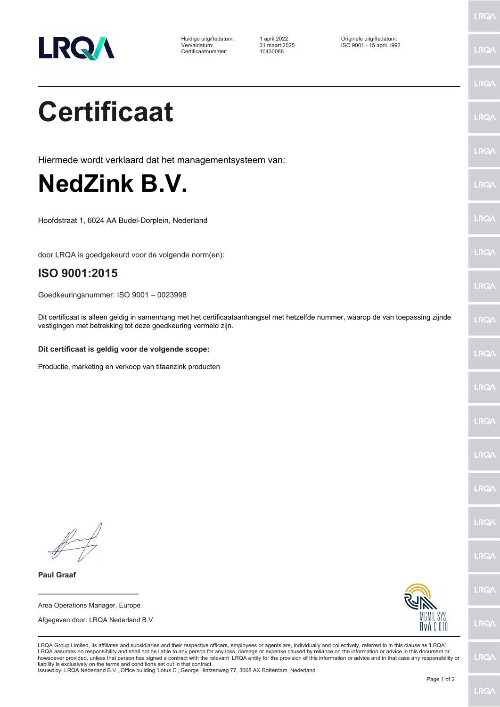

Certificaatnummer: 10430088

Huidige uitgiftedatum: 1 april 2022 Originele uitgiftedatum: Vervaldatum: 31 maart 2025 ISO 9001 - 15 april 1992

LRQ/

LRQ/

LRQ/

LRQ/

LRQ/

**LRQ/** 

LRQ/

LRQ/

**LRQA** 

**LRQ/** 

LRQ/

LRQ/

LRQ/

LRQ/

LRQ/

**IRQA** 

LRQ/

LRQ/

LRQ/

LRQ/

## **Certificaat**

Hiermede wordt verklaard dat het managementsysteem van:

## **NedZink B.V.**

Hoofdstraat 1, 6024 AA Budel-Dorplein, Nederland

door LRQA is goedgekeurd voor de volgende norm(en):

## **ISO 9001:2015**

Goedkeuringsnummer: ISO 9001 – 0023998

Dit certificaat is alleen geldig in samenhang met het certificaataanhangsel met hetzelfde nummer, waarop de van toepassing zijnde vestigingen met betrekking tot deze goedkeuring vermeld zijn.

## **Dit certificaat is geldig voor de volgende scope:**

Productie, marketing en verkoop van titaanzink producten

**\_\_\_\_\_\_\_\_\_\_\_\_\_\_\_\_\_\_\_\_\_\_\_\_** Area Operations Manager, Europe

**Paul Graaf**

Afgegeven door: LRQA Nederland B.V.



LRQA Group Limited, its affiliates and subsidiaries and their respective officers, employees or agents are, individually and collectively, referred to in this clause as 'LRQA'. LRQA assumes no responsibility and shall not be liable to any person for any loss, damage or expense caused by reliance on the information or advice in this document or<br>howsoever provided, unless that person has signed a c liability is exclusively on the terms and conditions set out in that contract.

Issued by: LRQA Nederland B.V., Office building 'Lotus C', George Hintzenweg 77, 3068 AX Rotterdam, Nederland